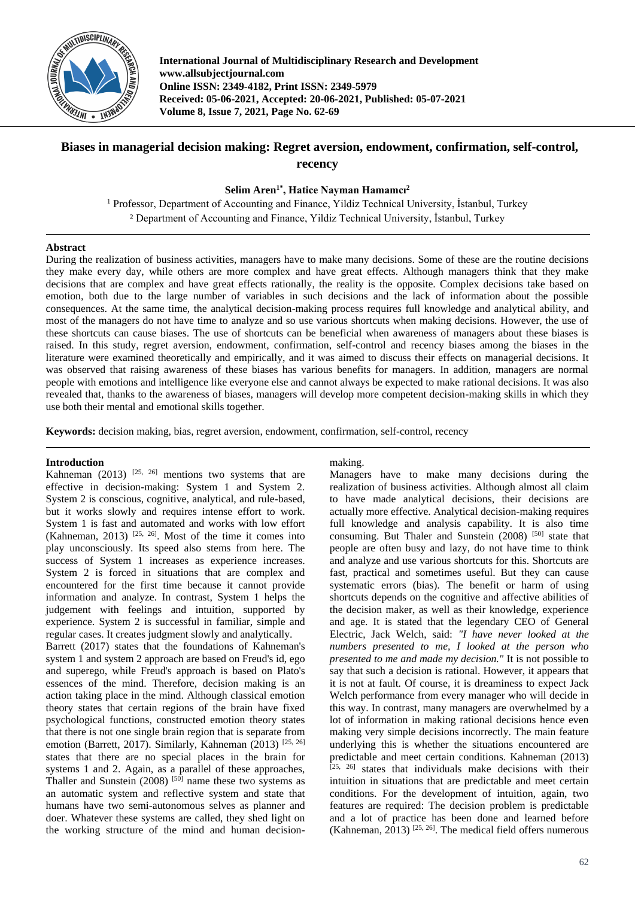

**International Journal of Multidisciplinary Research and Development www.allsubjectjournal.com Online ISSN: 2349-4182, Print ISSN: 2349-5979 Received: 05-06-2021, Accepted: 20-06-2021, Published: 05-07-2021 Volume 8, Issue 7, 2021, Page No. 62-69**

# **Biases in managerial decision making: Regret aversion, endowment, confirmation, self-control, recency**

## **Selim Aren1\*, Hatice Nayman Hamamcı<sup>2</sup>**

<sup>1</sup> Professor, Department of Accounting and Finance, Yildiz Technical University, İstanbul, Turkey ² Department of Accounting and Finance, Yildiz Technical University, İstanbul, Turkey

## **Abstract**

During the realization of business activities, managers have to make many decisions. Some of these are the routine decisions they make every day, while others are more complex and have great effects. Although managers think that they make decisions that are complex and have great effects rationally, the reality is the opposite. Complex decisions take based on emotion, both due to the large number of variables in such decisions and the lack of information about the possible consequences. At the same time, the analytical decision-making process requires full knowledge and analytical ability, and most of the managers do not have time to analyze and so use various shortcuts when making decisions. However, the use of these shortcuts can cause biases. The use of shortcuts can be beneficial when awareness of managers about these biases is raised. In this study, regret aversion, endowment, confirmation, self-control and recency biases among the biases in the literature were examined theoretically and empirically, and it was aimed to discuss their effects on managerial decisions. It was observed that raising awareness of these biases has various benefits for managers. In addition, managers are normal people with emotions and intelligence like everyone else and cannot always be expected to make rational decisions. It was also revealed that, thanks to the awareness of biases, managers will develop more competent decision-making skills in which they use both their mental and emotional skills together.

**Keywords:** decision making, bias, regret aversion, endowment, confirmation, self-control, recency

## **Introduction**

Kahneman (2013)  $[25, 26]$  mentions two systems that are effective in decision-making: System 1 and System 2. System 2 is conscious, cognitive, analytical, and rule-based, but it works slowly and requires intense effort to work. System 1 is fast and automated and works with low effort (Kahneman, 2013)<sup>[25, 26]</sup>. Most of the time it comes into play unconsciously. Its speed also stems from here. The success of System 1 increases as experience increases. System 2 is forced in situations that are complex and encountered for the first time because it cannot provide information and analyze. In contrast, System 1 helps the judgement with feelings and intuition, supported by experience. System 2 is successful in familiar, simple and regular cases. It creates judgment slowly and analytically. Barrett (2017) states that the foundations of Kahneman's system 1 and system 2 approach are based on Freud's id, ego and superego, while Freud's approach is based on Plato's essences of the mind. Therefore, decision making is an action taking place in the mind. Although classical emotion theory states that certain regions of the brain have fixed psychological functions, constructed emotion theory states that there is not one single brain region that is separate from emotion (Barrett, 2017). Similarly, Kahneman (2013) [25, 26] states that there are no special places in the brain for systems 1 and 2. Again, as a parallel of these approaches, Thaller and Sunstein  $(2008)$ <sup>[50]</sup> name these two systems as an automatic system and reflective system and state that

humans have two semi-autonomous selves as planner and doer. Whatever these systems are called, they shed light on the working structure of the mind and human decision-

#### making.

Managers have to make many decisions during the realization of business activities. Although almost all claim to have made analytical decisions, their decisions are actually more effective. Analytical decision-making requires full knowledge and analysis capability. It is also time consuming. But Thaler and Sunstein (2008)<sup>[50]</sup> state that people are often busy and lazy, do not have time to think and analyze and use various shortcuts for this. Shortcuts are fast, practical and sometimes useful. But they can cause systematic errors (bias). The benefit or harm of using shortcuts depends on the cognitive and affective abilities of the decision maker, as well as their knowledge, experience and age. It is stated that the legendary CEO of General Electric, Jack Welch, said: *"I have never looked at the numbers presented to me, I looked at the person who presented to me and made my decision."* It is not possible to say that such a decision is rational. However, it appears that it is not at fault. Of course, it is dreaminess to expect Jack Welch performance from every manager who will decide in this way. In contrast, many managers are overwhelmed by a lot of information in making rational decisions hence even making very simple decisions incorrectly. The main feature underlying this is whether the situations encountered are predictable and meet certain conditions. Kahneman (2013) [25, 26] states that individuals make decisions with their intuition in situations that are predictable and meet certain conditions. For the development of intuition, again, two features are required: The decision problem is predictable and a lot of practice has been done and learned before (Kahneman, 2013)<sup>[25, 26]</sup>. The medical field offers numerous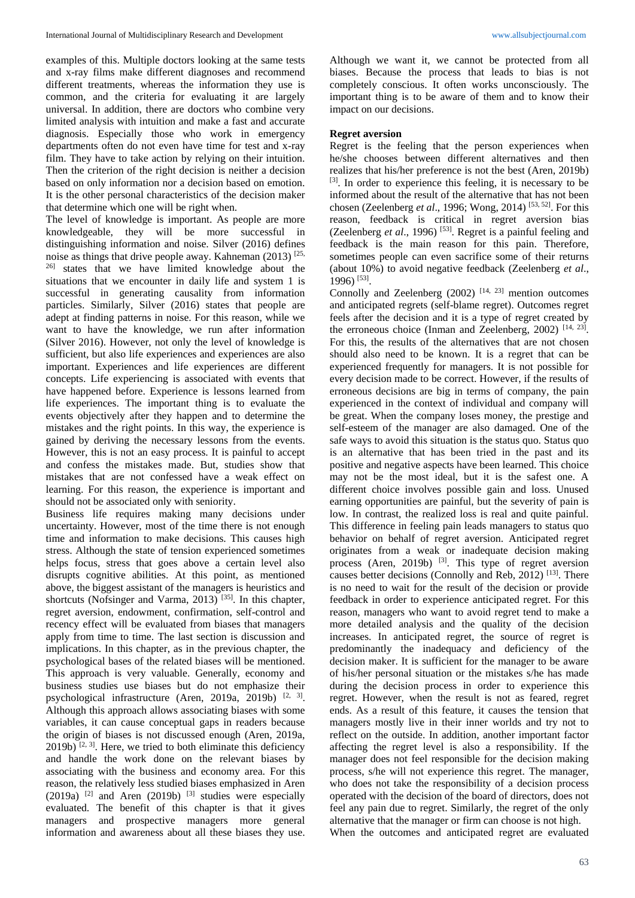examples of this. Multiple doctors looking at the same tests and x-ray films make different diagnoses and recommend different treatments, whereas the information they use is common, and the criteria for evaluating it are largely universal. In addition, there are doctors who combine very limited analysis with intuition and make a fast and accurate diagnosis. Especially those who work in emergency departments often do not even have time for test and x-ray film. They have to take action by relying on their intuition. Then the criterion of the right decision is neither a decision based on only information nor a decision based on emotion. It is the other personal characteristics of the decision maker that determine which one will be right when.

The level of knowledge is important. As people are more knowledgeable, they will be more successful in distinguishing information and noise. Silver (2016) defines noise as things that drive people away. Kahneman (2013) [25, <sup>26]</sup> states that we have limited knowledge about the situations that we encounter in daily life and system 1 is successful in generating causality from information particles. Similarly, Silver (2016) states that people are adept at finding patterns in noise. For this reason, while we want to have the knowledge, we run after information (Silver 2016). However, not only the level of knowledge is sufficient, but also life experiences and experiences are also important. Experiences and life experiences are different concepts. Life experiencing is associated with events that have happened before. Experience is lessons learned from life experiences. The important thing is to evaluate the events objectively after they happen and to determine the mistakes and the right points. In this way, the experience is gained by deriving the necessary lessons from the events. However, this is not an easy process. It is painful to accept and confess the mistakes made. But, studies show that mistakes that are not confessed have a weak effect on learning. For this reason, the experience is important and should not be associated only with seniority.

Business life requires making many decisions under uncertainty. However, most of the time there is not enough time and information to make decisions. This causes high stress. Although the state of tension experienced sometimes helps focus, stress that goes above a certain level also disrupts cognitive abilities. At this point, as mentioned above, the biggest assistant of the managers is heuristics and shortcuts (Nofsinger and Varma, 2013)<sup>[35]</sup>. In this chapter, regret aversion, endowment, confirmation, self-control and recency effect will be evaluated from biases that managers apply from time to time. The last section is discussion and implications. In this chapter, as in the previous chapter, the psychological bases of the related biases will be mentioned. This approach is very valuable. Generally, economy and business studies use biases but do not emphasize their psychological infrastructure (Aren, 2019a, 2019b) <sup>[2, 3]</sup>. Although this approach allows associating biases with some variables, it can cause conceptual gaps in readers because the origin of biases is not discussed enough (Aren, 2019a,  $2019b$ ) <sup>[2, 3]</sup>. Here, we tried to both eliminate this deficiency and handle the work done on the relevant biases by associating with the business and economy area. For this reason, the relatively less studied biases emphasized in Aren  $(2019a)$  <sup>[2]</sup> and Aren (2019b) <sup>[3]</sup> studies were especially evaluated. The benefit of this chapter is that it gives managers and prospective managers more general information and awareness about all these biases they use.

Although we want it, we cannot be protected from all biases. Because the process that leads to bias is not completely conscious. It often works unconsciously. The important thing is to be aware of them and to know their impact on our decisions.

## **Regret aversion**

Regret is the feeling that the person experiences when he/she chooses between different alternatives and then realizes that his/her preference is not the best (Aren, 2019b) [3]. In order to experience this feeling, it is necessary to be informed about the result of the alternative that has not been chosen (Zeelenberg *et al*., 1996; Wong, 2014) [53, 52] . For this reason, feedback is critical in regret aversion bias (Zeelenberg *et al.*, 1996)<sup>[53]</sup>. Regret is a painful feeling and feedback is the main reason for this pain. Therefore, sometimes people can even sacrifice some of their returns (about 10%) to avoid negative feedback (Zeelenberg *et al*., 1996) [53] .

Connolly and Zeelenberg  $(2002)$ <sup>[14, 23]</sup> mention outcomes and anticipated regrets (self-blame regret). Outcomes regret feels after the decision and it is a type of regret created by the erroneous choice (Inman and Zeelenberg, 2002)<sup>[14, 23]</sup>. For this, the results of the alternatives that are not chosen should also need to be known. It is a regret that can be experienced frequently for managers. It is not possible for every decision made to be correct. However, if the results of erroneous decisions are big in terms of company, the pain experienced in the context of individual and company will be great. When the company loses money, the prestige and self-esteem of the manager are also damaged. One of the safe ways to avoid this situation is the status quo. Status quo is an alternative that has been tried in the past and its positive and negative aspects have been learned. This choice may not be the most ideal, but it is the safest one. A different choice involves possible gain and loss. Unused earning opportunities are painful, but the severity of pain is low. In contrast, the realized loss is real and quite painful. This difference in feeling pain leads managers to status quo behavior on behalf of regret aversion. Anticipated regret originates from a weak or inadequate decision making process (Aren, 2019b)  $^{[3]}$ . This type of regret aversion causes better decisions (Connolly and Reb, 2012)<sup>[13]</sup>. There is no need to wait for the result of the decision or provide feedback in order to experience anticipated regret. For this reason, managers who want to avoid regret tend to make a more detailed analysis and the quality of the decision increases. In anticipated regret, the source of regret is predominantly the inadequacy and deficiency of the decision maker. It is sufficient for the manager to be aware of his/her personal situation or the mistakes s/he has made during the decision process in order to experience this regret. However, when the result is not as feared, regret ends. As a result of this feature, it causes the tension that managers mostly live in their inner worlds and try not to reflect on the outside. In addition, another important factor affecting the regret level is also a responsibility. If the manager does not feel responsible for the decision making process, s/he will not experience this regret. The manager, who does not take the responsibility of a decision process operated with the decision of the board of directors, does not feel any pain due to regret. Similarly, the regret of the only alternative that the manager or firm can choose is not high. When the outcomes and anticipated regret are evaluated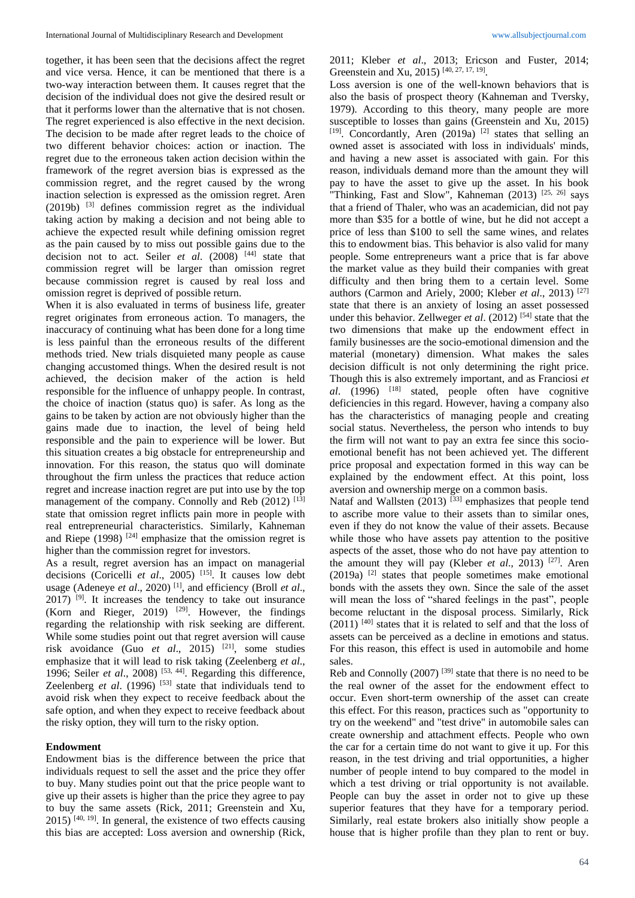together, it has been seen that the decisions affect the regret and vice versa. Hence, it can be mentioned that there is a two-way interaction between them. It causes regret that the decision of the individual does not give the desired result or that it performs lower than the alternative that is not chosen. The regret experienced is also effective in the next decision. The decision to be made after regret leads to the choice of two different behavior choices: action or inaction. The regret due to the erroneous taken action decision within the framework of the regret aversion bias is expressed as the commission regret, and the regret caused by the wrong inaction selection is expressed as the omission regret. Aren (2019b) [3] defines commission regret as the individual taking action by making a decision and not being able to achieve the expected result while defining omission regret as the pain caused by to miss out possible gains due to the decision not to act. Seiler *et al*. (2008) [44] state that commission regret will be larger than omission regret because commission regret is caused by real loss and omission regret is deprived of possible return.

When it is also evaluated in terms of business life, greater regret originates from erroneous action. To managers, the inaccuracy of continuing what has been done for a long time is less painful than the erroneous results of the different methods tried. New trials disquieted many people as cause changing accustomed things. When the desired result is not achieved, the decision maker of the action is held responsible for the influence of unhappy people. In contrast, the choice of inaction (status quo) is safer. As long as the gains to be taken by action are not obviously higher than the gains made due to inaction, the level of being held responsible and the pain to experience will be lower. But this situation creates a big obstacle for entrepreneurship and innovation. For this reason, the status quo will dominate throughout the firm unless the practices that reduce action regret and increase inaction regret are put into use by the top management of the company. Connolly and Reb (2012) [13] state that omission regret inflicts pain more in people with real entrepreneurial characteristics. Similarly, Kahneman and Riepe  $(1998)$ <sup>[24]</sup> emphasize that the omission regret is higher than the commission regret for investors.

As a result, regret aversion has an impact on managerial decisions (Coricelli *et al*., 2005) [15] . It causes low debt usage (Adeneye *et al.*, 2020)<sup>[1]</sup>, and efficiency (Broll *et al.*,  $2017$ ) <sup>[9]</sup>. It increases the tendency to take out insurance (Korn and Rieger, 2019)  $[29]$ . However, the findings regarding the relationship with risk seeking are different. While some studies point out that regret aversion will cause risk avoidance (Guo *et al.*, 2015)<sup>[21]</sup>, some studies emphasize that it will lead to risk taking (Zeelenberg *et al*., 1996; Seiler *et al.*, 2008)<sup>[53, 44]</sup>. Regarding this difference, Zeelenberg *et al.* (1996)<sup>[53]</sup> state that individuals tend to avoid risk when they expect to receive feedback about the safe option, and when they expect to receive feedback about the risky option, they will turn to the risky option.

#### **Endowment**

Endowment bias is the difference between the price that individuals request to sell the asset and the price they offer to buy. Many studies point out that the price people want to give up their assets is higher than the price they agree to pay to buy the same assets (Rick, 2011; Greenstein and Xu,  $2015$ )  $[40, 19]$ . In general, the existence of two effects causing this bias are accepted: Loss aversion and ownership (Rick,

2011; Kleber *et al*., 2013; Ericson and Fuster, 2014; Greenstein and Xu, 2015)<sup>[40, 27, 17, 19]</sup>.

Loss aversion is one of the well-known behaviors that is also the basis of prospect theory (Kahneman and Tversky, 1979). According to this theory, many people are more susceptible to losses than gains (Greenstein and Xu, 2015) [19]. Concordantly, Aren (2019a)<sup>[2]</sup> states that selling an owned asset is associated with loss in individuals' minds, and having a new asset is associated with gain. For this reason, individuals demand more than the amount they will pay to have the asset to give up the asset. In his book "Thinking, Fast and Slow", Kahneman  $(2013)$ <sup>[25, 26]</sup> says that a friend of Thaler, who was an academician, did not pay more than \$35 for a bottle of wine, but he did not accept a price of less than \$100 to sell the same wines, and relates this to endowment bias. This behavior is also valid for many people. Some entrepreneurs want a price that is far above the market value as they build their companies with great difficulty and then bring them to a certain level. Some authors (Carmon and Ariely, 2000; Kleber *et al*., 2013) [27] state that there is an anxiety of losing an asset possessed under this behavior. Zellweger *et al.* (2012)<sup>[54]</sup> state that the two dimensions that make up the endowment effect in family businesses are the socio-emotional dimension and the material (monetary) dimension. What makes the sales decision difficult is not only determining the right price. Though this is also extremely important, and as Franciosi *et al*. (1996) [18] stated, people often have cognitive deficiencies in this regard. However, having a company also has the characteristics of managing people and creating social status. Nevertheless, the person who intends to buy the firm will not want to pay an extra fee since this socioemotional benefit has not been achieved yet. The different price proposal and expectation formed in this way can be explained by the endowment effect. At this point, loss aversion and ownership merge on a common basis.

Nataf and Wallsten  $(2013)$ <sup>[33]</sup> emphasizes that people tend to ascribe more value to their assets than to similar ones, even if they do not know the value of their assets. Because while those who have assets pay attention to the positive aspects of the asset, those who do not have pay attention to the amount they will pay (Kleber *et al.*, 2013)<sup>[27]</sup>. Aren  $(2019a)$  <sup>[2]</sup> states that people sometimes make emotional bonds with the assets they own. Since the sale of the asset will mean the loss of "shared feelings in the past", people become reluctant in the disposal process. Similarly, Rick  $(2011)$ <sup>[40]</sup> states that it is related to self and that the loss of assets can be perceived as a decline in emotions and status. For this reason, this effect is used in automobile and home sales.

Reb and Connolly (2007)<sup>[39]</sup> state that there is no need to be the real owner of the asset for the endowment effect to occur. Even short-term ownership of the asset can create this effect. For this reason, practices such as "opportunity to try on the weekend" and "test drive" in automobile sales can create ownership and attachment effects. People who own the car for a certain time do not want to give it up. For this reason, in the test driving and trial opportunities, a higher number of people intend to buy compared to the model in which a test driving or trial opportunity is not available. People can buy the asset in order not to give up these superior features that they have for a temporary period. Similarly, real estate brokers also initially show people a house that is higher profile than they plan to rent or buy.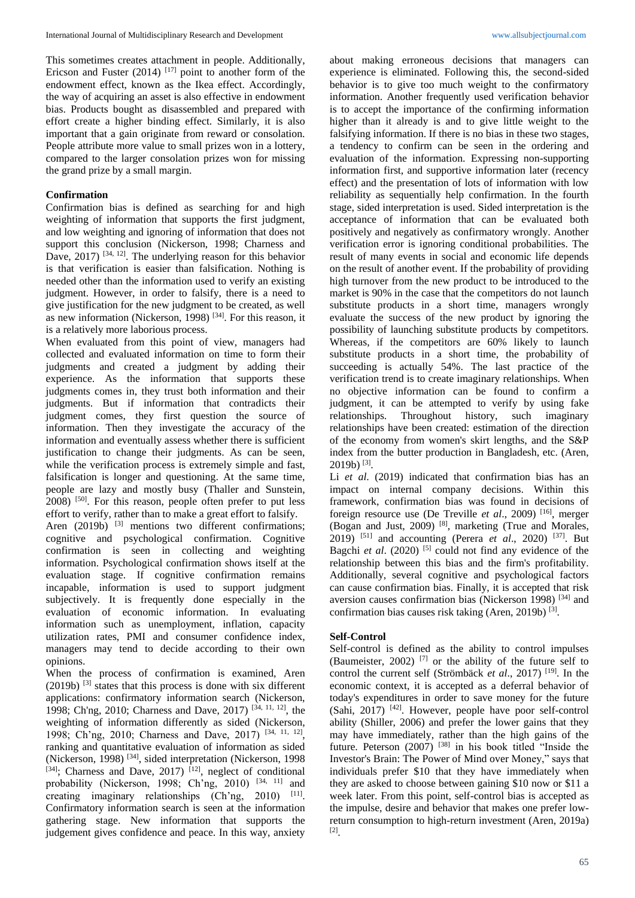This sometimes creates attachment in people. Additionally, Ericson and Fuster (2014)  $[17]$  point to another form of the endowment effect, known as the Ikea effect. Accordingly, the way of acquiring an asset is also effective in endowment bias. Products bought as disassembled and prepared with effort create a higher binding effect. Similarly, it is also important that a gain originate from reward or consolation. People attribute more value to small prizes won in a lottery, compared to the larger consolation prizes won for missing the grand prize by a small margin.

## **Confirmation**

Confirmation bias is defined as searching for and high weighting of information that supports the first judgment, and low weighting and ignoring of information that does not support this conclusion (Nickerson, 1998; Charness and Dave,  $2017$ ) <sup>[34, 12]</sup>. The underlying reason for this behavior is that verification is easier than falsification. Nothing is needed other than the information used to verify an existing judgment. However, in order to falsify, there is a need to give justification for the new judgment to be created, as well as new information (Nickerson, 1998)<sup>[34]</sup>. For this reason, it is a relatively more laborious process.

When evaluated from this point of view, managers had collected and evaluated information on time to form their judgments and created a judgment by adding their experience. As the information that supports these judgments comes in, they trust both information and their judgments. But if information that contradicts their judgment comes, they first question the source of information. Then they investigate the accuracy of the information and eventually assess whether there is sufficient justification to change their judgments. As can be seen, while the verification process is extremely simple and fast, falsification is longer and questioning. At the same time, people are lazy and mostly busy (Thaller and Sunstein, 2008) <sup>[50]</sup>. For this reason, people often prefer to put less effort to verify, rather than to make a great effort to falsify.

Aren  $(2019b)$  <sup>[3]</sup> mentions two different confirmations; cognitive and psychological confirmation. Cognitive confirmation is seen in collecting and weighting information. Psychological confirmation shows itself at the evaluation stage. If cognitive confirmation remains incapable, information is used to support judgment subjectively. It is frequently done especially in the evaluation of economic information. In evaluating information such as unemployment, inflation, capacity utilization rates, PMI and consumer confidence index, managers may tend to decide according to their own opinions.

When the process of confirmation is examined, Aren  $(2019b)$  <sup>[3]</sup> states that this process is done with six different applications: confirmatory information search (Nickerson, 1998; Ch'ng, 2010; Charness and Dave, 2017) [34, 11, 12] , the weighting of information differently as sided (Nickerson, 1998; Ch'ng, 2010; Charness and Dave, 2017) [34, 11, 12] , ranking and quantitative evaluation of information as sided (Nickerson, 1998)<sup>[34]</sup>, sided interpretation (Nickerson, 1998 [34]; Charness and Dave, 2017)<sup>[12]</sup>, neglect of conditional probability (Nickerson, 1998; Ch'ng, 2010)<sup>[34, 11]</sup> and creating imaginary relationships  $(Ch'ng, 2010)$ <sup>[11]</sup>. Confirmatory information search is seen at the information gathering stage. New information that supports the judgement gives confidence and peace. In this way, anxiety

about making erroneous decisions that managers can experience is eliminated. Following this, the second-sided behavior is to give too much weight to the confirmatory information. Another frequently used verification behavior is to accept the importance of the confirming information higher than it already is and to give little weight to the falsifying information. If there is no bias in these two stages, a tendency to confirm can be seen in the ordering and evaluation of the information. Expressing non-supporting information first, and supportive information later (recency effect) and the presentation of lots of information with low reliability as sequentially help confirmation. In the fourth stage, sided interpretation is used. Sided interpretation is the acceptance of information that can be evaluated both positively and negatively as confirmatory wrongly. Another verification error is ignoring conditional probabilities. The result of many events in social and economic life depends on the result of another event. If the probability of providing high turnover from the new product to be introduced to the market is 90% in the case that the competitors do not launch substitute products in a short time, managers wrongly evaluate the success of the new product by ignoring the possibility of launching substitute products by competitors. Whereas, if the competitors are 60% likely to launch substitute products in a short time, the probability of succeeding is actually 54%. The last practice of the verification trend is to create imaginary relationships. When no objective information can be found to confirm a judgment, it can be attempted to verify by using fake relationships. Throughout history, such imaginary relationships have been created: estimation of the direction of the economy from women's skirt lengths, and the S&P index from the butter production in Bangladesh, etc. (Aren,  $2019b)$ <sup>[3]</sup>.

Li *et al*. (2019) indicated that confirmation bias has an impact on internal company decisions. Within this framework, confirmation bias was found in decisions of foreign resource use (De Treville et al., 2009)<sup>[16]</sup>, merger (Bogan and Just, 2009) [8] , marketing (True and Morales, 2019) [51] and accounting (Perera *et al*., 2020) [37] . But Bagchi et al. (2020)<sup>[5]</sup> could not find any evidence of the relationship between this bias and the firm's profitability. Additionally, several cognitive and psychological factors can cause confirmation bias. Finally, it is accepted that risk aversion causes confirmation bias (Nickerson 1998)<sup>[34]</sup> and confirmation bias causes risk taking (Aren, 2019b)<sup>[3]</sup>.

## **Self-Control**

Self-control is defined as the ability to control impulses (Baumeister, 2002)<sup>[7]</sup> or the ability of the future self to control the current self (Strömbäck *et al*., 2017) [19] . In the economic context, it is accepted as a deferral behavior of today's expenditures in order to save money for the future (Sahi, 2017) [42] . However, people have poor self-control ability (Shiller, 2006) and prefer the lower gains that they may have immediately, rather than the high gains of the future. Peterson (2007)<sup>[38]</sup> in his book titled "Inside the Investor's Brain: The Power of Mind over Money," says that individuals prefer \$10 that they have immediately when they are asked to choose between gaining \$10 now or \$11 a week later. From this point, self-control bias is accepted as the impulse, desire and behavior that makes one prefer lowreturn consumption to high-return investment (Aren, 2019a) [2] .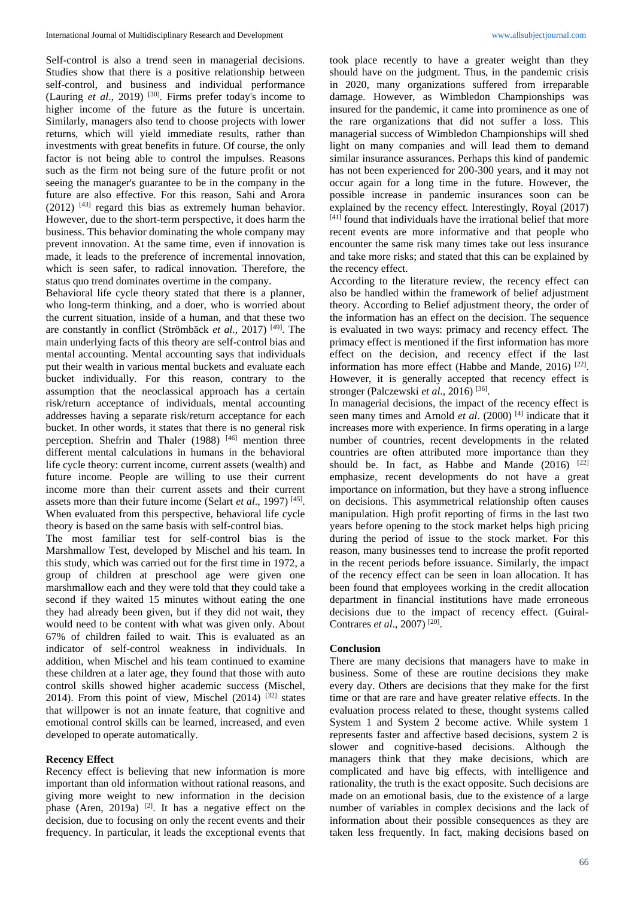Self-control is also a trend seen in managerial decisions. Studies show that there is a positive relationship between self-control, and business and individual performance (Lauring *et al*., 2019) [30] . Firms prefer today's income to higher income of the future as the future is uncertain. Similarly, managers also tend to choose projects with lower returns, which will yield immediate results, rather than investments with great benefits in future. Of course, the only factor is not being able to control the impulses. Reasons such as the firm not being sure of the future profit or not seeing the manager's guarantee to be in the company in the future are also effective. For this reason, Sahi and Arora  $(2012)$  <sup>[43]</sup> regard this bias as extremely human behavior. However, due to the short-term perspective, it does harm the business. This behavior dominating the whole company may prevent innovation. At the same time, even if innovation is made, it leads to the preference of incremental innovation, which is seen safer, to radical innovation. Therefore, the status quo trend dominates overtime in the company.

Behavioral life cycle theory stated that there is a planner, who long-term thinking, and a doer, who is worried about the current situation, inside of a human, and that these two are constantly in conflict (Strömbäck *et al*., 2017) [49] . The main underlying facts of this theory are self-control bias and mental accounting. Mental accounting says that individuals put their wealth in various mental buckets and evaluate each bucket individually. For this reason, contrary to the assumption that the neoclassical approach has a certain risk/return acceptance of individuals, mental accounting addresses having a separate risk/return acceptance for each bucket. In other words, it states that there is no general risk perception. Shefrin and Thaler  $(1988)$ <sup>[46]</sup> mention three different mental calculations in humans in the behavioral life cycle theory: current income, current assets (wealth) and future income. People are willing to use their current income more than their current assets and their current assets more than their future income (Selart *et al.*, 1997)<sup>[45]</sup>. When evaluated from this perspective, behavioral life cycle theory is based on the same basis with self-control bias.

The most familiar test for self-control bias is the Marshmallow Test, developed by Mischel and his team. In this study, which was carried out for the first time in 1972, a group of children at preschool age were given one marshmallow each and they were told that they could take a second if they waited 15 minutes without eating the one they had already been given, but if they did not wait, they would need to be content with what was given only. About 67% of children failed to wait. This is evaluated as an indicator of self-control weakness in individuals. In addition, when Mischel and his team continued to examine these children at a later age, they found that those with auto control skills showed higher academic success (Mischel, 2014). From this point of view, Mischel  $(2014)$  <sup>[32]</sup> states that willpower is not an innate feature, that cognitive and emotional control skills can be learned, increased, and even developed to operate automatically.

#### **Recency Effect**

Recency effect is believing that new information is more important than old information without rational reasons, and giving more weight to new information in the decision phase (Aren, 2019a)  $[2]$ . It has a negative effect on the decision, due to focusing on only the recent events and their frequency. In particular, it leads the exceptional events that

took place recently to have a greater weight than they should have on the judgment. Thus, in the pandemic crisis in 2020, many organizations suffered from irreparable damage. However, as Wimbledon Championships was insured for the pandemic, it came into prominence as one of the rare organizations that did not suffer a loss. This managerial success of Wimbledon Championships will shed light on many companies and will lead them to demand similar insurance assurances. Perhaps this kind of pandemic has not been experienced for 200-300 years, and it may not occur again for a long time in the future. However, the possible increase in pandemic insurances soon can be explained by the recency effect. Interestingly, Royal (2017) [41] found that individuals have the irrational belief that more recent events are more informative and that people who encounter the same risk many times take out less insurance and take more risks; and stated that this can be explained by the recency effect.

According to the literature review, the recency effect can also be handled within the framework of belief adjustment theory. According to Belief adjustment theory, the order of the information has an effect on the decision. The sequence is evaluated in two ways: primacy and recency effect. The primacy effect is mentioned if the first information has more effect on the decision, and recency effect if the last information has more effect (Habbe and Mande, 2016)<sup>[22]</sup>. However, it is generally accepted that recency effect is stronger (Palczewski et al., 2016)<sup>[36]</sup>.

In managerial decisions, the impact of the recency effect is seen many times and Arnold *et al.* (2000)<sup>[4]</sup> indicate that it increases more with experience. In firms operating in a large number of countries, recent developments in the related countries are often attributed more importance than they should be. In fact, as Habbe and Mande  $(2016)$  <sup>[22]</sup> emphasize, recent developments do not have a great importance on information, but they have a strong influence on decisions. This asymmetrical relationship often causes manipulation. High profit reporting of firms in the last two years before opening to the stock market helps high pricing during the period of issue to the stock market. For this reason, many businesses tend to increase the profit reported in the recent periods before issuance. Similarly, the impact of the recency effect can be seen in loan allocation. It has been found that employees working in the credit allocation department in financial institutions have made erroneous decisions due to the impact of recency effect. (Guiral-Contrares *et al.*, 2007)<sup>[20]</sup>.

#### **Conclusion**

There are many decisions that managers have to make in business. Some of these are routine decisions they make every day. Others are decisions that they make for the first time or that are rare and have greater relative effects. In the evaluation process related to these, thought systems called System 1 and System 2 become active. While system 1 represents faster and affective based decisions, system 2 is slower and cognitive-based decisions. Although the managers think that they make decisions, which are complicated and have big effects, with intelligence and rationality, the truth is the exact opposite. Such decisions are made on an emotional basis, due to the existence of a large number of variables in complex decisions and the lack of information about their possible consequences as they are taken less frequently. In fact, making decisions based on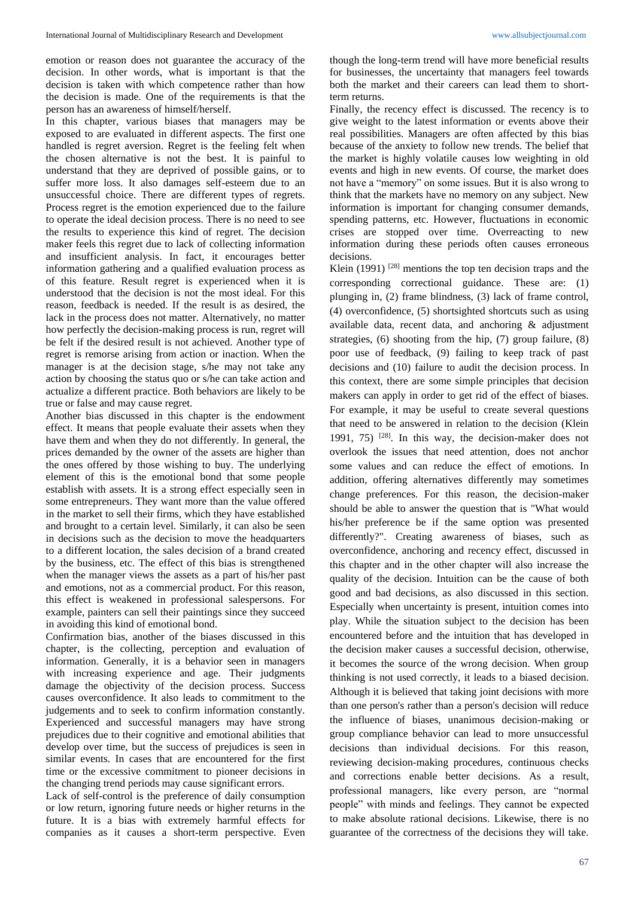emotion or reason does not guarantee the accuracy of the decision. In other words, what is important is that the decision is taken with which competence rather than how the decision is made. One of the requirements is that the person has an awareness of himself/herself.

In this chapter, various biases that managers may be exposed to are evaluated in different aspects. The first one handled is regret aversion. Regret is the feeling felt when the chosen alternative is not the best. It is painful to understand that they are deprived of possible gains, or to suffer more loss. It also damages self-esteem due to an unsuccessful choice. There are different types of regrets. Process regret is the emotion experienced due to the failure to operate the ideal decision process. There is no need to see the results to experience this kind of regret. The decision maker feels this regret due to lack of collecting information and insufficient analysis. In fact, it encourages better information gathering and a qualified evaluation process as of this feature. Result regret is experienced when it is understood that the decision is not the most ideal. For this reason, feedback is needed. If the result is as desired, the lack in the process does not matter. Alternatively, no matter how perfectly the decision-making process is run, regret will be felt if the desired result is not achieved. Another type of regret is remorse arising from action or inaction. When the manager is at the decision stage, s/he may not take any action by choosing the status quo or s/he can take action and actualize a different practice. Both behaviors are likely to be true or false and may cause regret.

Another bias discussed in this chapter is the endowment effect. It means that people evaluate their assets when they have them and when they do not differently. In general, the prices demanded by the owner of the assets are higher than the ones offered by those wishing to buy. The underlying element of this is the emotional bond that some people establish with assets. It is a strong effect especially seen in some entrepreneurs. They want more than the value offered in the market to sell their firms, which they have established and brought to a certain level. Similarly, it can also be seen in decisions such as the decision to move the headquarters to a different location, the sales decision of a brand created by the business, etc. The effect of this bias is strengthened when the manager views the assets as a part of his/her past and emotions, not as a commercial product. For this reason, this effect is weakened in professional salespersons. For example, painters can sell their paintings since they succeed in avoiding this kind of emotional bond.

Confirmation bias, another of the biases discussed in this chapter, is the collecting, perception and evaluation of information. Generally, it is a behavior seen in managers with increasing experience and age. Their judgments damage the objectivity of the decision process. Success causes overconfidence. It also leads to commitment to the judgements and to seek to confirm information constantly. Experienced and successful managers may have strong prejudices due to their cognitive and emotional abilities that develop over time, but the success of prejudices is seen in similar events. In cases that are encountered for the first time or the excessive commitment to pioneer decisions in the changing trend periods may cause significant errors.

Lack of self-control is the preference of daily consumption or low return, ignoring future needs or higher returns in the future. It is a bias with extremely harmful effects for companies as it causes a short-term perspective. Even

though the long-term trend will have more beneficial results for businesses, the uncertainty that managers feel towards both the market and their careers can lead them to shortterm returns.

Finally, the recency effect is discussed. The recency is to give weight to the latest information or events above their real possibilities. Managers are often affected by this bias because of the anxiety to follow new trends. The belief that the market is highly volatile causes low weighting in old events and high in new events. Of course, the market does not have a "memory" on some issues. But it is also wrong to think that the markets have no memory on any subject. New information is important for changing consumer demands, spending patterns, etc. However, fluctuations in economic crises are stopped over time. Overreacting to new information during these periods often causes erroneous decisions.

Klein  $(1991)$ <sup>[28]</sup> mentions the top ten decision traps and the corresponding correctional guidance. These are: (1) plunging in, (2) frame blindness, (3) lack of frame control, (4) overconfidence, (5) shortsighted shortcuts such as using available data, recent data, and anchoring & adjustment strategies, (6) shooting from the hip, (7) group failure, (8) poor use of feedback, (9) failing to keep track of past decisions and (10) failure to audit the decision process. In this context, there are some simple principles that decision makers can apply in order to get rid of the effect of biases. For example, it may be useful to create several questions that need to be answered in relation to the decision (Klein 1991, 75) [28] . In this way, the decision-maker does not overlook the issues that need attention, does not anchor some values and can reduce the effect of emotions. In addition, offering alternatives differently may sometimes change preferences. For this reason, the decision-maker should be able to answer the question that is "What would his/her preference be if the same option was presented differently?". Creating awareness of biases, such as overconfidence, anchoring and recency effect, discussed in this chapter and in the other chapter will also increase the quality of the decision. Intuition can be the cause of both good and bad decisions, as also discussed in this section. Especially when uncertainty is present, intuition comes into play. While the situation subject to the decision has been encountered before and the intuition that has developed in the decision maker causes a successful decision, otherwise, it becomes the source of the wrong decision. When group thinking is not used correctly, it leads to a biased decision. Although it is believed that taking joint decisions with more than one person's rather than a person's decision will reduce the influence of biases, unanimous decision-making or group compliance behavior can lead to more unsuccessful decisions than individual decisions. For this reason, reviewing decision-making procedures, continuous checks and corrections enable better decisions. As a result, professional managers, like every person, are "normal people" with minds and feelings. They cannot be expected to make absolute rational decisions. Likewise, there is no guarantee of the correctness of the decisions they will take.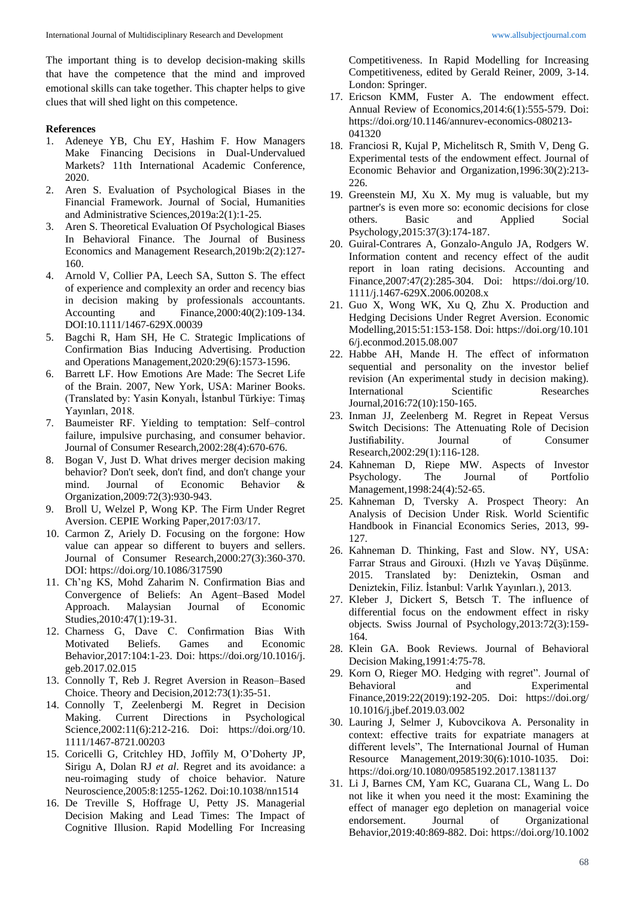The important thing is to develop decision-making skills that have the competence that the mind and improved emotional skills can take together. This chapter helps to give clues that will shed light on this competence.

### **References**

- 1. Adeneye YB, Chu EY, Hashim F. How Managers Make Financing Decisions in Dual-Undervalued Markets? 11th International Academic Conference, 2020.
- 2. Aren S. Evaluation of Psychological Biases in the Financial Framework. Journal of Social, Humanities and Administrative Sciences,2019a:2(1):1-25.
- 3. Aren S. Theoretical Evaluation Of Psychological Biases In Behavioral Finance. The Journal of Business Economics and Management Research,2019b:2(2):127- 160.
- 4. Arnold V, Collier PA, Leech SA, Sutton S. The effect of experience and complexity an order and recency bias in decision making by professionals accountants. Accounting and Finance,2000:40(2):109-134. DOI:10.1111/1467-629X.00039
- 5. Bagchi R, Ham SH, He C. Strategic Implications of Confirmation Bias Inducing Advertising. Production and Operations Management,2020:29(6):1573-1596.
- 6. Barrett LF. How Emotions Are Made: The Secret Life of the Brain. 2007, New York, USA: Mariner Books. (Translated by: Yasin Konyalı, İstanbul Türkiye: Timaş Yayınları, 2018.
- 7. Baumeister RF. Yielding to temptation: Self–control failure, impulsive purchasing, and consumer behavior. Journal of Consumer Research,2002:28(4):670-676.
- Bogan V, Just D. What drives merger decision making behavior? Don't seek, don't find, and don't change your mind. Journal of Economic Behavior & Organization,2009:72(3):930-943.
- 9. Broll U, Welzel P, Wong KP. The Firm Under Regret Aversion. CEPIE Working Paper,2017:03/17.
- 10. Carmon Z, Ariely D. Focusing on the forgone: How value can appear so different to buyers and sellers. Journal of Consumer Research,2000:27(3):360-370. DOI: https://doi.org/10.1086/317590
- 11. Ch'ng KS, Mohd Zaharim N. Confirmation Bias and Convergence of Beliefs: An Agent–Based Model Approach. Malaysian Journal of Economic Studies,2010:47(1):19-31.
- 12. Charness G, Dave C. Confirmation Bias With Motivated Beliefs. Games and Economic Behavior,2017:104:1-23. Doi: https://doi.org/10.1016/j. geb.2017.02.015
- 13. Connolly T, Reb J. Regret Aversion in Reason–Based Choice. Theory and Decision,2012:73(1):35-51.
- 14. Connolly T, Zeelenbergi M. Regret in Decision Making. Current Directions in Psychological Science,2002:11(6):212-216. Doi: https://doi.org/10. 1111/1467-8721.00203
- 15. Coricelli G, Critchley HD, Joffily M, O'Doherty JP, Sirigu A, Dolan RJ *et al*. Regret and its avoidance: a neu-roimaging study of choice behavior. Nature Neuroscience,2005:8:1255-1262. Doi:10.1038/nn1514
- 16. De Treville S, Hoffrage U, Petty JS. Managerial Decision Making and Lead Times: The Impact of Cognitive Illusion. Rapid Modelling For Increasing

Competitiveness. In Rapid Modelling for Increasing Competitiveness, edited by Gerald Reiner, 2009, 3-14. London: Springer.

- 17. Ericson KMM, Fuster A. The endowment effect. Annual Review of Economics,2014:6(1):555-579. Doi: https://doi.org/10.1146/annurev-economics-080213- 041320
- 18. Franciosi R, Kujal P, Michelitsch R, Smith V, Deng G. Experimental tests of the endowment effect. Journal of Economic Behavior and Organization,1996:30(2):213- 226.
- 19. Greenstein MJ, Xu X. My mug is valuable, but my partner's is even more so: economic decisions for close others. Basic and Applied Social Psychology,2015:37(3):174-187.
- 20. Guiral-Contrares A, Gonzalo-Angulo JA, Rodgers W. Information content and recency effect of the audit report in loan rating decisions. Accounting and Finance,2007:47(2):285-304. Doi: https://doi.org/10. 1111/j.1467-629X.2006.00208.x
- 21. Guo X, Wong WK, Xu Q, Zhu X. Production and Hedging Decisions Under Regret Aversion. Economic Modelling,2015:51:153-158. Doi: https://doi.org/10.101 6/j.econmod.2015.08.007
- 22. Habbe AH, Mande H. The effect of informatıon sequential and personality on the investor belief revision (An experimental study in decision making). International Scientific Researches Journal,2016:72(10):150-165.
- 23. Inman JJ, Zeelenberg M. Regret in Repeat Versus Switch Decisions: The Attenuating Role of Decision Justifiability. Journal of Consumer Research,2002:29(1):116-128.
- 24. Kahneman D, Riepe MW. Aspects of Investor Psychology. The Journal of Portfolio Management,1998:24(4):52-65.
- 25. Kahneman D, Tversky A. Prospect Theory: An Analysis of Decision Under Risk. World Scientific Handbook in Financial Economics Series, 2013, 99- 127.
- 26. Kahneman D. Thinking, Fast and Slow. NY, USA: Farrar Straus and Girouxi. (Hızlı ve Yavaş Düşünme. 2015. Translated by: Deniztekin, Osman and Deniztekin, Filiz. İstanbul: Varlık Yayınları.), 2013.
- 27. Kleber J, Dickert S, Betsch T. The influence of differential focus on the endowment effect in risky objects. Swiss Journal of Psychology,2013:72(3):159- 164.
- 28. Klein GA. Book Reviews. Journal of Behavioral Decision Making,1991:4:75-78.
- 29. Korn O, Rieger MO. Hedging with regret". Journal of Behavioral and Experimental Finance,2019:22(2019):192-205. Doi: https://doi.org/ 10.1016/j.jbef.2019.03.002
- 30. Lauring J, Selmer J, Kubovcikova A. Personality in context: effective traits for expatriate managers at different levels", The International Journal of Human Resource Management,2019:30(6):1010-1035. Doi: https://doi.org/10.1080/09585192.2017.1381137
- 31. Li J, Barnes CM, Yam KC, Guarana CL, Wang L. Do not like it when you need it the most: Examining the effect of manager ego depletion on managerial voice endorsement. Journal of Organizational Behavior,2019:40:869-882. Doi: https://doi.org/10.1002